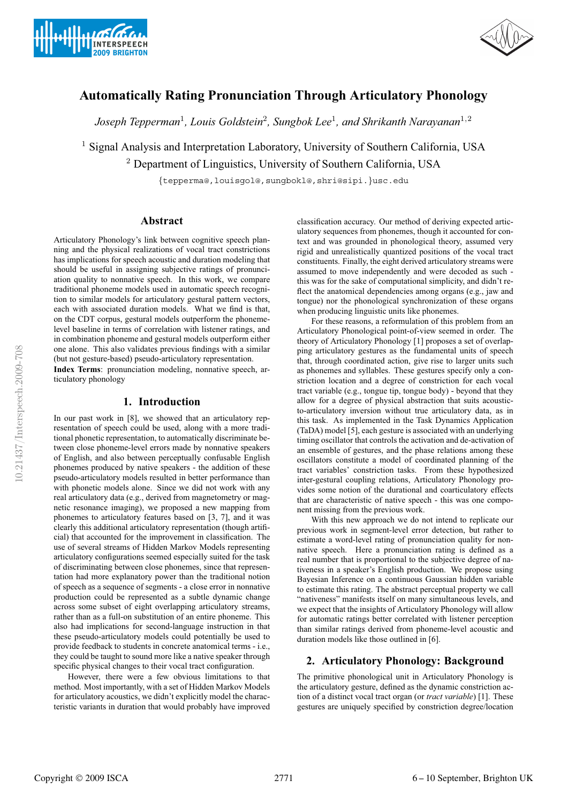



# **Automatically Rating Pronunciation Through Articulatory Phonology**

*Joseph Tepperman*<sup>1</sup>*, Louis Goldstein*<sup>2</sup>*, Sungbok Lee*<sup>1</sup>*, and Shrikanth Narayanan*<sup>1</sup>,<sup>2</sup>

<sup>1</sup> Signal Analysis and Interpretation Laboratory, University of Southern California, USA <sup>2</sup> Department of Linguistics, University of Southern California, USA

{tepperma@,louisgol@,sungbokl@,shri@sipi.}usc.edu

# **Abstract**

Articulatory Phonology's link between cognitive speech planning and the physical realizations of vocal tract constrictions has implications for speech acoustic and duration modeling that should be useful in assigning subjective ratings of pronunciation quality to nonnative speech. In this work, we compare traditional phoneme models used in automatic speech recognition to similar models for articulatory gestural pattern vectors, each with associated duration models. What we find is that, on the CDT corpus, gestural models outperform the phonemelevel baseline in terms of correlation with listener ratings, and in combination phoneme and gestural models outperform either one alone. This also validates previous findings with a similar (but not gesture-based) pseudo-articulatory representation. **Index Terms**: pronunciation modeling, nonnative speech, ar-

ticulatory phonology

# **1. Introduction**

In our past work in [8], we showed that an articulatory representation of speech could be used, along with a more traditional phonetic representation, to automatically discriminate between close phoneme-level errors made by nonnative speakers of English, and also between perceptually confusable English phonemes produced by native speakers - the addition of these pseudo-articulatory models resulted in better performance than with phonetic models alone. Since we did not work with any real articulatory data (e.g., derived from magnetometry or magnetic resonance imaging), we proposed a new mapping from phonemes to articulatory features based on [3, 7], and it was clearly this additional articulatory representation (though artificial) that accounted for the improvement in classification. The use of several streams of Hidden Markov Models representing articulatory configurations seemed especially suited for the task of discriminating between close phonemes, since that representation had more explanatory power than the traditional notion of speech as a sequence of segments - a close error in nonnative production could be represented as a subtle dynamic change across some subset of eight overlapping articulatory streams, rather than as a full-on substitution of an entire phoneme. This also had implications for second-language instruction in that these pseudo-articulatory models could potentially be used to provide feedback to students in concrete anatomical terms - i.e., they could be taught to sound more like a native speaker through specific physical changes to their vocal tract configuration.

However, there were a few obvious limitations to that method. Most importantly, with a set of Hidden Markov Models for articulatory acoustics, we didn't explicitly model the characteristic variants in duration that would probably have improved classification accuracy. Our method of deriving expected articulatory sequences from phonemes, though it accounted for context and was grounded in phonological theory, assumed very rigid and unrealistically quantized positions of the vocal tract constituents. Finally, the eight derived articulatory streams were assumed to move independently and were decoded as such this was for the sake of computational simplicity, and didn't reflect the anatomical dependencies among organs (e.g., jaw and tongue) nor the phonological synchronization of these organs when producing linguistic units like phonemes.

For these reasons, a reformulation of this problem from an Articulatory Phonological point-of-view seemed in order. The theory of Articulatory Phonology [1] proposes a set of overlapping articulatory gestures as the fundamental units of speech that, through coordinated action, give rise to larger units such as phonemes and syllables. These gestures specify only a constriction location and a degree of constriction for each vocal tract variable (e.g., tongue tip, tongue body) - beyond that they allow for a degree of physical abstraction that suits acousticto-articulatory inversion without true articulatory data, as in this task. As implemented in the Task Dynamics Application (TaDA) model [5], each gesture is associated with an underlying timing oscillator that controls the activation and de-activation of an ensemble of gestures, and the phase relations among these oscillators constitute a model of coordinated planning of the tract variables' constriction tasks. From these hypothesized inter-gestural coupling relations, Articulatory Phonology provides some notion of the durational and coarticulatory effects that are characteristic of native speech - this was one component missing from the previous work.

With this new approach we do not intend to replicate our previous work in segment-level error detection, but rather to estimate a word-level rating of pronunciation quality for nonnative speech. Here a pronunciation rating is defined as a real number that is proportional to the subjective degree of nativeness in a speaker's English production. We propose using Bayesian Inference on a continuous Gaussian hidden variable to estimate this rating. The abstract perceptual property we call "nativeness" manifests itself on many simultaneous levels, and we expect that the insights of Articulatory Phonology will allow for automatic ratings better correlated with listener perception than similar ratings derived from phoneme-level acoustic and duration models like those outlined in [6].

# **2. Articulatory Phonology: Background**

The primitive phonological unit in Articulatory Phonology is the articulatory gesture, defined as the dynamic constriction action of a distinct vocal tract organ (or *tract variable*) [1]. These gestures are uniquely specified by constriction degree/location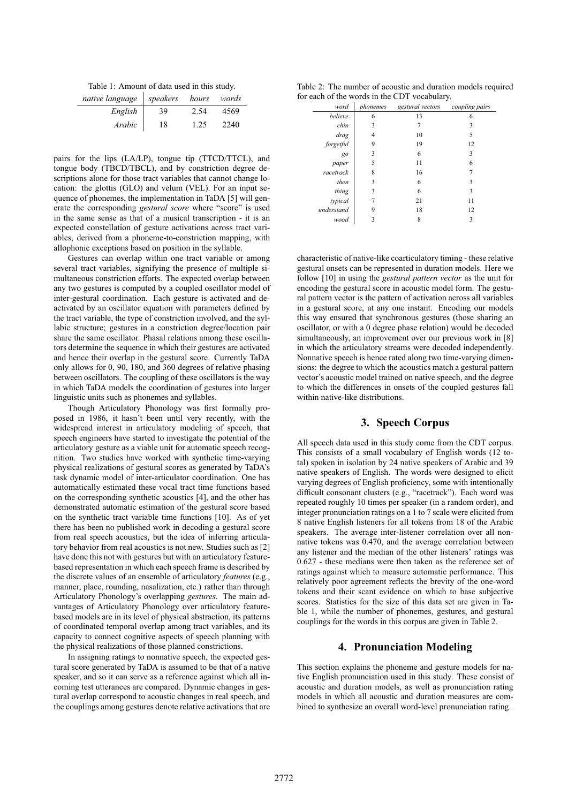Table 1: Amount of data used in this study.

| native language | speakers | hours | words |
|-----------------|----------|-------|-------|
| English         | 39       | 2.54  | 4569  |
| Arabic          | 18       | 1.25  | 2240  |

pairs for the lips (LA/LP), tongue tip (TTCD/TTCL), and tongue body (TBCD/TBCL), and by constriction degree descriptions alone for those tract variables that cannot change location: the glottis (GLO) and velum (VEL). For an input sequence of phonemes, the implementation in TaDA [5] will generate the corresponding *gestural score* where "score" is used in the same sense as that of a musical transcription - it is an expected constellation of gesture activations across tract variables, derived from a phoneme-to-constriction mapping, with allophonic exceptions based on position in the syllable.

Gestures can overlap within one tract variable or among several tract variables, signifying the presence of multiple simultaneous constriction efforts. The expected overlap between any two gestures is computed by a coupled oscillator model of inter-gestural coordination. Each gesture is activated and deactivated by an oscillator equation with parameters defined by the tract variable, the type of constriction involved, and the syllabic structure; gestures in a constriction degree/location pair share the same oscillator. Phasal relations among these oscillators determine the sequence in which their gestures are activated and hence their overlap in the gestural score. Currently TaDA only allows for 0, 90, 180, and 360 degrees of relative phasing between oscillators. The coupling of these oscillators is the way in which TaDA models the coordination of gestures into larger linguistic units such as phonemes and syllables.

Though Articulatory Phonology was first formally proposed in 1986, it hasn't been until very recently, with the widespread interest in articulatory modeling of speech, that speech engineers have started to investigate the potential of the articulatory gesture as a viable unit for automatic speech recognition. Two studies have worked with synthetic time-varying physical realizations of gestural scores as generated by TaDA's task dynamic model of inter-articulator coordination. One has automatically estimated these vocal tract time functions based on the corresponding synthetic acoustics [4], and the other has demonstrated automatic estimation of the gestural score based on the synthetic tract variable time functions [10]. As of yet there has been no published work in decoding a gestural score from real speech acoustics, but the idea of inferring articulatory behavior from real acoustics is not new. Studies such as [2] have done this not with gestures but with an articulatory featurebased representation in which each speech frame is described by the discrete values of an ensemble of articulatory *features* (e.g., manner, place, rounding, nasalization, etc.) rather than through Articulatory Phonology's overlapping *gestures*. The main advantages of Articulatory Phonology over articulatory featurebased models are in its level of physical abstraction, its patterns of coordinated temporal overlap among tract variables, and its capacity to connect cognitive aspects of speech planning with the physical realizations of those planned constrictions.

In assigning ratings to nonnative speech, the expected gestural score generated by TaDA is assumed to be that of a native speaker, and so it can serve as a reference against which all incoming test utterances are compared. Dynamic changes in gestural overlap correspond to acoustic changes in real speech, and the couplings among gestures denote relative activations that are

Table 2: The number of acoustic and duration models required for each of the words in the CDT vocabulary.

| word       | phonemes | gestural vectors | coupling pairs |
|------------|----------|------------------|----------------|
| believe    | 6        | 13               | 6              |
| chin       | 3        |                  | 3              |
| drag       |          | 10               | 5              |
| forgetful  | 9        | 19               | 12             |
| go         | 3        | 6                | 3              |
| paper      | 5        | 11               | 6              |
| racetrack  | 8        | 16               |                |
| then       | 3        | 6                | 3              |
| thing      | 3        | 6                | 3              |
| typical    |          | 21               | 11             |
| understand | 9        | 18               | 12             |
| wood       | 3        | 8                | 3              |
|            |          |                  |                |

characteristic of native-like coarticulatory timing - these relative gestural onsets can be represented in duration models. Here we follow [10] in using the *gestural pattern vector* as the unit for encoding the gestural score in acoustic model form. The gestural pattern vector is the pattern of activation across all variables in a gestural score, at any one instant. Encoding our models this way ensured that synchronous gestures (those sharing an oscillator, or with a 0 degree phase relation) would be decoded simultaneously, an improvement over our previous work in [8] in which the articulatory streams were decoded independently. Nonnative speech is hence rated along two time-varying dimensions: the degree to which the acoustics match a gestural pattern vector's acoustic model trained on native speech, and the degree to which the differences in onsets of the coupled gestures fall within native-like distributions.

# **3. Speech Corpus**

All speech data used in this study come from the CDT corpus. This consists of a small vocabulary of English words (12 total) spoken in isolation by 24 native speakers of Arabic and 39 native speakers of English. The words were designed to elicit varying degrees of English proficiency, some with intentionally difficult consonant clusters (e.g., "racetrack"). Each word was repeated roughly 10 times per speaker (in a random order), and integer pronunciation ratings on a 1 to 7 scale were elicited from 8 native English listeners for all tokens from 18 of the Arabic speakers. The average inter-listener correlation over all nonnative tokens was 0.470, and the average correlation between any listener and the median of the other listeners' ratings was 0.627 - these medians were then taken as the reference set of ratings against which to measure automatic performance. This relatively poor agreement reflects the brevity of the one-word tokens and their scant evidence on which to base subjective scores. Statistics for the size of this data set are given in Table 1, while the number of phonemes, gestures, and gestural couplings for the words in this corpus are given in Table 2.

# **4. Pronunciation Modeling**

This section explains the phoneme and gesture models for native English pronunciation used in this study. These consist of acoustic and duration models, as well as pronunciation rating models in which all acoustic and duration measures are combined to synthesize an overall word-level pronunciation rating.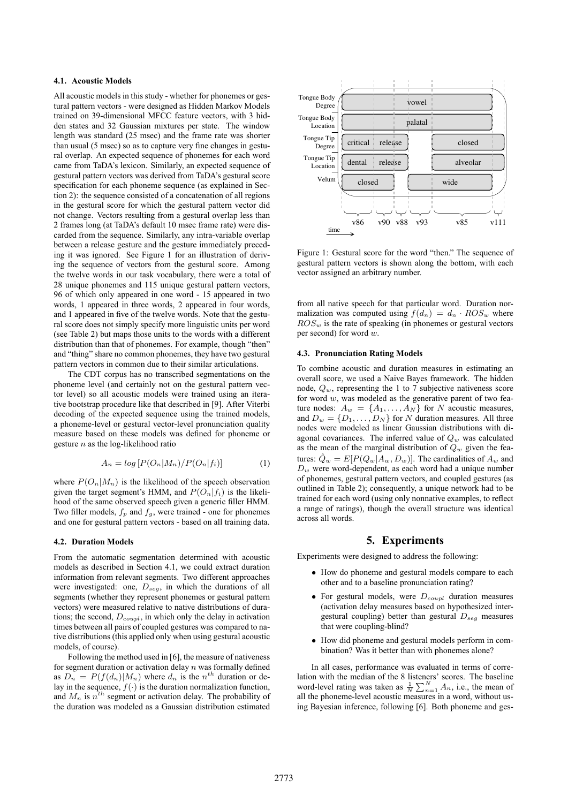### **4.1. Acoustic Models**

All acoustic models in this study - whether for phonemes or gestural pattern vectors - were designed as Hidden Markov Models trained on 39-dimensional MFCC feature vectors, with 3 hidden states and 32 Gaussian mixtures per state. The window length was standard (25 msec) and the frame rate was shorter than usual (5 msec) so as to capture very fine changes in gestural overlap. An expected sequence of phonemes for each word came from TaDA's lexicon. Similarly, an expected sequence of gestural pattern vectors was derived from TaDA's gestural score specification for each phoneme sequence (as explained in Section 2): the sequence consisted of a concatenation of all regions in the gestural score for which the gestural pattern vector did not change. Vectors resulting from a gestural overlap less than 2 frames long (at TaDA's default 10 msec frame rate) were discarded from the sequence. Similarly, any intra-variable overlap between a release gesture and the gesture immediately preceding it was ignored. See Figure 1 for an illustration of deriving the sequence of vectors from the gestural score. Among the twelve words in our task vocabulary, there were a total of 28 unique phonemes and 115 unique gestural pattern vectors, 96 of which only appeared in one word - 15 appeared in two words, 1 appeared in three words, 2 appeared in four words, and 1 appeared in five of the twelve words. Note that the gestural score does not simply specify more linguistic units per word (see Table 2) but maps those units to the words with a different distribution than that of phonemes. For example, though "then" and "thing" share no common phonemes, they have two gestural pattern vectors in common due to their similar articulations.

The CDT corpus has no transcribed segmentations on the phoneme level (and certainly not on the gestural pattern vector level) so all acoustic models were trained using an iterative bootstrap procedure like that described in [9]. After Viterbi decoding of the expected sequence using the trained models, a phoneme-level or gestural vector-level pronunciation quality measure based on these models was defined for phoneme or gesture  $n$  as the log-likelihood ratio

$$
A_n = \log \left[ P(O_n | M_n) / P(O_n | f_i) \right] \tag{1}
$$

where  $P(O_n|M_n)$  is the likelihood of the speech observation given the target segment's HMM, and  $P(O_n|f_i)$  is the likelihood of the same observed speech given a generic filler HMM. Two filler models,  $f_p$  and  $f_g$ , were trained - one for phonemes and one for gestural pattern vectors - based on all training data.

#### **4.2. Duration Models**

From the automatic segmentation determined with acoustic models as described in Section 4.1, we could extract duration information from relevant segments. Two different approaches were investigated: one,  $D_{seg}$ , in which the durations of all segments (whether they represent phonemes or gestural pattern vectors) were measured relative to native distributions of durations; the second,  $D_{coup}$ , in which only the delay in activation times between all pairs of coupled gestures was compared to native distributions (this applied only when using gestural acoustic models, of course).

Following the method used in [6], the measure of nativeness for segment duration or activation delay  $n$  was formally defined as  $D_n = P(f(d_n)|M_n)$  where  $d_n$  is the  $n^{th}$  duration or delay in the sequence,  $f(\cdot)$  is the duration normalization function, and  $M_n$  is  $n^{th}$  segment or activation delay. The probability of the duration was modeled as a Gaussian distribution estimated



Figure 1: Gestural score for the word "then." The sequence of gestural pattern vectors is shown along the bottom, with each vector assigned an arbitrary number.

from all native speech for that particular word. Duration normalization was computed using  $f(d_n) = d_n \cdot ROS_w$  where  $ROS_w$  is the rate of speaking (in phonemes or gestural vectors per second) for word  $w$ .

#### **4.3. Pronunciation Rating Models**

To combine acoustic and duration measures in estimating an overall score, we used a Naive Bayes framework. The hidden node,  $Q_w$ , representing the 1 to 7 subjective nativeness score for word  $w$ , was modeled as the generative parent of two feature nodes:  $A_w = \{A_1, \ldots, A_N\}$  for N acoustic measures, and  $D_w = \{D_1, \ldots, D_N\}$  for N duration measures. All three nodes were modeled as linear Gaussian distributions with diagonal covariances. The inferred value of  $Q_w$  was calculated as the mean of the marginal distribution of  $Q_w$  given the features:  $\ddot{Q}_w = E[P(Q_w|A_w, D_w)]$ . The cardinalities of  $A_w$  and  $D_w$  were word-dependent, as each word had a unique number of phonemes, gestural pattern vectors, and coupled gestures (as outlined in Table 2); consequently, a unique network had to be trained for each word (using only nonnative examples, to reflect a range of ratings), though the overall structure was identical across all words.

### **5. Experiments**

Experiments were designed to address the following:

- How do phoneme and gestural models compare to each other and to a baseline pronunciation rating?
- For gestural models, were  $D_{coupl}$  duration measures (activation delay measures based on hypothesized intergestural coupling) better than gestural  $D_{seg}$  measures that were coupling-blind?
- How did phoneme and gestural models perform in combination? Was it better than with phonemes alone?

In all cases, performance was evaluated in terms of correlation with the median of the 8 listeners' scores. The baseline word-level rating was taken as  $\frac{1}{N} \sum_{n=1}^{N} A_n$ , i.e., the mean of all the phoneme-level acoustic measures in a word, without using Bayesian inference, following [6]. Both phoneme and ges-